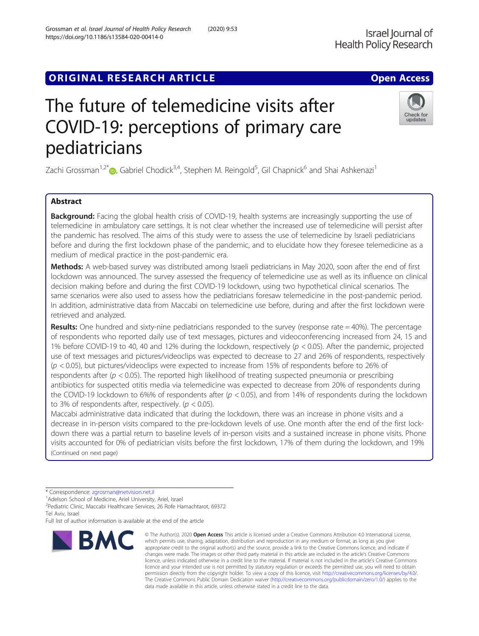# **ORIGINAL RESEARCH ARTICLE CONSUMING ACCESS**

# The future of telemedicine visits after COVID-19: perceptions of primary care pediatricians

Zachi Grossman<sup>1,2\*</sup>®, Gabriel Chodick<sup>3,4</sup>, Stephen M. Reingold<sup>5</sup>, Gil Chapnick<sup>6</sup> and Shai Ashkenazi<sup>1</sup>

# Abstract

**Background:** Facing the global health crisis of COVID-19, health systems are increasingly supporting the use of telemedicine in ambulatory care settings. It is not clear whether the increased use of telemedicine will persist after the pandemic has resolved. The aims of this study were to assess the use of telemedicine by Israeli pediatricians before and during the first lockdown phase of the pandemic, and to elucidate how they foresee telemedicine as a medium of medical practice in the post-pandemic era.

Methods: A web-based survey was distributed among Israeli pediatricians in May 2020, soon after the end of first lockdown was announced. The survey assessed the frequency of telemedicine use as well as its influence on clinical decision making before and during the first COVID-19 lockdown, using two hypothetical clinical scenarios. The same scenarios were also used to assess how the pediatricians foresaw telemedicine in the post-pandemic period. In addition, administrative data from Maccabi on telemedicine use before, during and after the first lockdown were retrieved and analyzed.

Results: One hundred and sixty-nine pediatricians responded to the survey (response rate = 40%). The percentage of respondents who reported daily use of text messages, pictures and videoconferencing increased from 24, 15 and 1% before COVID-19 to 40, 40 and 12% during the lockdown, respectively ( $p < 0.05$ ). After the pandemic, projected use of text messages and pictures/videoclips was expected to decrease to 27 and 26% of respondents, respectively (p < 0.05), but pictures/videoclips were expected to increase from 15% of respondents before to 26% of respondents after ( $p < 0.05$ ). The reported high likelihood of treating suspected pneumonia or prescribing antibiotics for suspected otitis media via telemedicine was expected to decrease from 20% of respondents during the COVID-19 lockdown to 6%% of respondents after ( $p < 0.05$ ), and from 14% of respondents during the lockdown to 3% of respondents after, respectively. ( $p < 0.05$ ).

Maccabi administrative data indicated that during the lockdown, there was an increase in phone visits and a decrease in in-person visits compared to the pre-lockdown levels of use. One month after the end of the first lockdown there was a partial return to baseline levels of in-person visits and a sustained increase in phone visits. Phone visits accounted for 0% of pediatrician visits before the first lockdown, 17% of them during the lockdown, and 19% (Continued on next page)

**BMC** 

appropriate credit to the original author(s) and the source, provide a link to the Creative Commons licence, and indicate if changes were made. The images or other third party material in this article are included in the article's Creative Commons licence, unless indicated otherwise in a credit line to the material. If material is not included in the article's Creative Commons licence and your intended use is not permitted by statutory regulation or exceeds the permitted use, you will need to obtain permission directly from the copyright holder. To view a copy of this licence, visit [http://creativecommons.org/licenses/by/4.0/.](http://creativecommons.org/licenses/by/4.0/) The Creative Commons Public Domain Dedication waiver [\(http://creativecommons.org/publicdomain/zero/1.0/](http://creativecommons.org/publicdomain/zero/1.0/)) applies to the data made available in this article, unless otherwise stated in a credit line to the data.

© The Author(s), 2020 **Open Access** This article is licensed under a Creative Commons Attribution 4.0 International License, which permits use, sharing, adaptation, distribution and reproduction in any medium or format, as long as you give

Check for updates



<sup>\*</sup> Correspondence: [zgrosman@netvision.net.il](mailto:zgrosman@netvision.net.il) <sup>1</sup>

<sup>&</sup>lt;sup>1</sup> Adelson School of Medicine, Ariel University, Ariel, Israel

<sup>2</sup> Pediatric Clinic, Maccabi Healthcare Services, 26 Rofe Hamachtarot, 69372 Tel Aviv, Israel

Full list of author information is available at the end of the article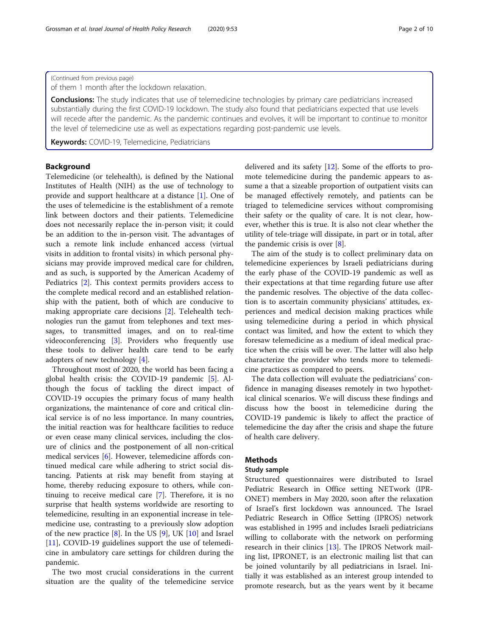(Continued from previous page)

of them 1 month after the lockdown relaxation.

Conclusions: The study indicates that use of telemedicine technologies by primary care pediatricians increased substantially during the first COVID-19 lockdown. The study also found that pediatricians expected that use levels will recede after the pandemic. As the pandemic continues and evolves, it will be important to continue to monitor the level of telemedicine use as well as expectations regarding post-pandemic use levels.

Keywords: COVID-19, Telemedicine, Pediatricians

# Background

Telemedicine (or telehealth), is defined by the National Institutes of Health (NIH) as the use of technology to provide and support healthcare at a distance [\[1\]](#page-9-0). One of the uses of telemedicine is the establishment of a remote link between doctors and their patients. Telemedicine does not necessarily replace the in-person visit; it could be an addition to the in-person visit. The advantages of such a remote link include enhanced access (virtual visits in addition to frontal visits) in which personal physicians may provide improved medical care for children, and as such, is supported by the American Academy of Pediatrics [[2\]](#page-9-0). This context permits providers access to the complete medical record and an established relationship with the patient, both of which are conducive to making appropriate care decisions [[2\]](#page-9-0). Telehealth technologies run the gamut from telephones and text messages, to transmitted images, and on to real-time videoconferencing [\[3](#page-9-0)]. Providers who frequently use these tools to deliver health care tend to be early adopters of new technology [[4\]](#page-9-0).

Throughout most of 2020, the world has been facing a global health crisis: the COVID-19 pandemic [[5\]](#page-9-0). Although the focus of tackling the direct impact of COVID-19 occupies the primary focus of many health organizations, the maintenance of core and critical clinical service is of no less importance. In many countries, the initial reaction was for healthcare facilities to reduce or even cease many clinical services, including the closure of clinics and the postponement of all non-critical medical services [[6\]](#page-9-0). However, telemedicine affords continued medical care while adhering to strict social distancing. Patients at risk may benefit from staying at home, thereby reducing exposure to others, while continuing to receive medical care [[7\]](#page-9-0). Therefore, it is no surprise that health systems worldwide are resorting to telemedicine, resulting in an exponential increase in telemedicine use, contrasting to a previously slow adoption of the new practice  $[8]$  $[8]$ . In the US  $[9]$  $[9]$ , UK  $[10]$  $[10]$  and Israel [[11\]](#page-9-0), COVID-19 guidelines support the use of telemedicine in ambulatory care settings for children during the pandemic.

The two most crucial considerations in the current situation are the quality of the telemedicine service delivered and its safety [[12](#page-9-0)]. Some of the efforts to promote telemedicine during the pandemic appears to assume a that a sizeable proportion of outpatient visits can be managed effectively remotely, and patients can be triaged to telemedicine services without compromising their safety or the quality of care. It is not clear, however, whether this is true. It is also not clear whether the utility of tele-triage will dissipate, in part or in total, after the pandemic crisis is over [\[8\]](#page-9-0).

The aim of the study is to collect preliminary data on telemedicine experiences by Israeli pediatricians during the early phase of the COVID-19 pandemic as well as their expectations at that time regarding future use after the pandemic resolves. The objective of the data collection is to ascertain community physicians' attitudes, experiences and medical decision making practices while using telemedicine during a period in which physical contact was limited, and how the extent to which they foresaw telemedicine as a medium of ideal medical practice when the crisis will be over. The latter will also help characterize the provider who tends more to telemedicine practices as compared to peers.

The data collection will evaluate the pediatricians' confidence in managing diseases remotely in two hypothetical clinical scenarios. We will discuss these findings and discuss how the boost in telemedicine during the COVID-19 pandemic is likely to affect the practice of telemedicine the day after the crisis and shape the future of health care delivery.

# **Methods**

# Study sample

Structured questionnaires were distributed to Israel Pediatric Research in Office setting NETwork (IPR-ONET) members in May 2020, soon after the relaxation of Israel's first lockdown was announced. The Israel Pediatric Research in Office Setting (IPROS) network was established in 1995 and includes Israeli pediatricians willing to collaborate with the network on performing research in their clinics [[13\]](#page-9-0). The IPROS Network mailing list, IPRONET, is an electronic mailing list that can be joined voluntarily by all pediatricians in Israel. Initially it was established as an interest group intended to promote research, but as the years went by it became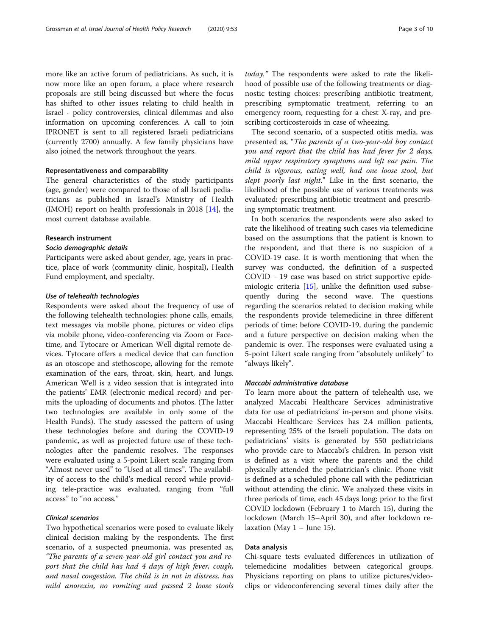more like an active forum of pediatricians. As such, it is now more like an open forum, a place where research proposals are still being discussed but where the focus has shifted to other issues relating to child health in Israel - policy controversies, clinical dilemmas and also information on upcoming conferences. A call to join IPRONET is sent to all registered Israeli pediatricians

# Representativeness and comparability

also joined the network throughout the years.

The general characteristics of the study participants (age, gender) were compared to those of all Israeli pediatricians as published in Israel's Ministry of Health (IMOH) report on health professionals in 2018 [\[14\]](#page-9-0), the most current database available.

(currently 2700) annually. A few family physicians have

#### Research instrument

#### Socio demographic details

Participants were asked about gender, age, years in practice, place of work (community clinic, hospital), Health Fund employment, and specialty.

#### Use of telehealth technologies

Respondents were asked about the frequency of use of the following telehealth technologies: phone calls, emails, text messages via mobile phone, pictures or video clips via mobile phone, video-conferencing via Zoom or Facetime, and Tytocare or American Well digital remote devices. Tytocare offers a medical device that can function as an otoscope and stethoscope, allowing for the remote examination of the ears, throat, skin, heart, and lungs. American Well is a video session that is integrated into the patients' EMR (electronic medical record) and permits the uploading of documents and photos. (The latter two technologies are available in only some of the Health Funds). The study assessed the pattern of using these technologies before and during the COVID-19 pandemic, as well as projected future use of these technologies after the pandemic resolves. The responses were evaluated using a 5-point Likert scale ranging from "Almost never used" to "Used at all times". The availability of access to the child's medical record while providing tele-practice was evaluated, ranging from "full access" to "no access."

# Clinical scenarios

Two hypothetical scenarios were posed to evaluate likely clinical decision making by the respondents. The first scenario, of a suspected pneumonia, was presented as, "The parents of a seven-year-old girl contact you and report that the child has had 4 days of high fever, cough, and nasal congestion. The child is in not in distress, has mild anorexia, no vomiting and passed 2 loose stools today." The respondents were asked to rate the likelihood of possible use of the following treatments or diagnostic testing choices: prescribing antibiotic treatment, prescribing symptomatic treatment, referring to an emergency room, requesting for a chest X-ray, and prescribing corticosteroids in case of wheezing.

The second scenario, of a suspected otitis media, was presented as, "The parents of a two-year-old boy contact you and report that the child has had fever for 2 days, mild upper respiratory symptoms and left ear pain. The child is vigorous, eating well, had one loose stool, but slept poorly last night." Like in the first scenario, the likelihood of the possible use of various treatments was evaluated: prescribing antibiotic treatment and prescribing symptomatic treatment.

In both scenarios the respondents were also asked to rate the likelihood of treating such cases via telemedicine based on the assumptions that the patient is known to the respondent, and that there is no suspicion of a COVID-19 case. It is worth mentioning that when the survey was conducted, the definition of a suspected COVID − 19 case was based on strict supportive epidemiologic criteria [\[15](#page-9-0)], unlike the definition used subsequently during the second wave. The questions regarding the scenarios related to decision making while the respondents provide telemedicine in three different periods of time: before COVID-19, during the pandemic and a future perspective on decision making when the pandemic is over. The responses were evaluated using a 5-point Likert scale ranging from "absolutely unlikely" to "always likely".

# Maccabi administrative database

To learn more about the pattern of telehealth use, we analyzed Maccabi Healthcare Services administrative data for use of pediatricians' in-person and phone visits. Maccabi Healthcare Services has 2.4 million patients, representing 25% of the Israeli population. The data on pediatricians' visits is generated by 550 pediatricians who provide care to Maccabi's children. In person visit is defined as a visit where the parents and the child physically attended the pediatrician's clinic. Phone visit is defined as a scheduled phone call with the pediatrician without attending the clinic. We analyzed these visits in three periods of time, each 45 days long: prior to the first COVID lockdown (February 1 to March 15), during the lockdown (March 15–April 30), and after lockdown relaxation (May  $1 -$  June 15).

# Data analysis

Chi-square tests evaluated differences in utilization of telemedicine modalities between categorical groups. Physicians reporting on plans to utilize pictures/videoclips or videoconferencing several times daily after the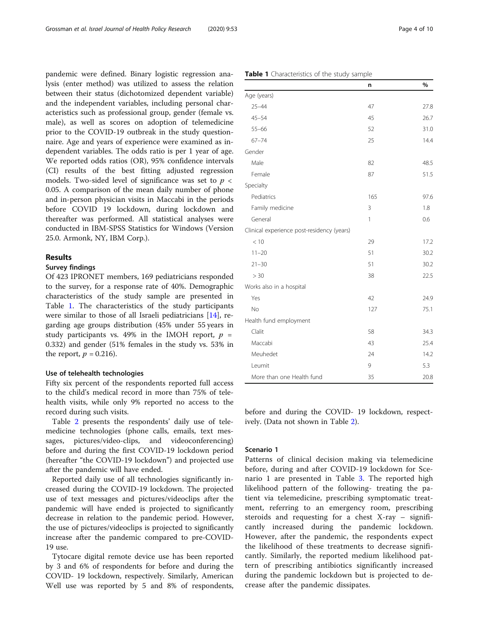pandemic were defined. Binary logistic regression analysis (enter method) was utilized to assess the relation between their status (dichotomized dependent variable) and the independent variables, including personal characteristics such as professional group, gender (female vs. male), as well as scores on adoption of telemedicine prior to the COVID-19 outbreak in the study questionnaire. Age and years of experience were examined as independent variables. The odds ratio is per 1 year of age. We reported odds ratios (OR), 95% confidence intervals (CI) results of the best fitting adjusted regression models. Two-sided level of significance was set to  $p <$ 0.05. A comparison of the mean daily number of phone and in-person physician visits in Maccabi in the periods before COVID 19 lockdown, during lockdown and thereafter was performed. All statistical analyses were conducted in IBM-SPSS Statistics for Windows (Version 25.0. Armonk, NY, IBM Corp.).

# Results

# Survey findings

Of 423 IPRONET members, 169 pediatricians responded to the survey, for a response rate of 40%. Demographic characteristics of the study sample are presented in Table 1. The characteristics of the study participants were similar to those of all Israeli pediatricians [\[14\]](#page-9-0), regarding age groups distribution (45% under 55 years in study participants vs. 49% in the IMOH report,  $p =$ 0.332) and gender (51% females in the study vs. 53% in the report,  $p = 0.216$ ).

# Use of telehealth technologies

Fifty six percent of the respondents reported full access to the child's medical record in more than 75% of telehealth visits, while only 9% reported no access to the record during such visits.

Table [2](#page-4-0) presents the respondents' daily use of telemedicine technologies (phone calls, emails, text messages, pictures/video-clips, and videoconferencing) before and during the first COVID-19 lockdown period (hereafter "the COVID-19 lockdown") and projected use after the pandemic will have ended.

Reported daily use of all technologies significantly increased during the COVID-19 lockdown. The projected use of text messages and pictures/videoclips after the pandemic will have ended is projected to significantly decrease in relation to the pandemic period. However, the use of pictures/videoclips is projected to significantly increase after the pandemic compared to pre-COVID-19 use.

Tytocare digital remote device use has been reported by 3 and 6% of respondents for before and during the COVID- 19 lockdown, respectively. Similarly, American Well use was reported by 5 and 8% of respondents,

|                                            | n   | %    |
|--------------------------------------------|-----|------|
| Age (years)                                |     |      |
| $25 - 44$                                  | 47  | 27.8 |
| $45 - 54$                                  | 45  | 26.7 |
| $55 - 66$                                  | 52  | 31.0 |
| $67 - 74$                                  | 25  | 14.4 |
| Gender                                     |     |      |
| Male                                       | 82  | 48.5 |
| Female                                     | 87  | 51.5 |
| Specialty                                  |     |      |
| Pediatrics                                 | 165 | 97.6 |
| Family medicine                            | 3   | 1.8  |
| General                                    | 1   | 0.6  |
| Clinical experience post-residency (years) |     |      |
| < 10                                       | 29  | 17.2 |
| $11 - 20$                                  | 51  | 30.2 |
| $21 - 30$                                  | 51  | 30.2 |
| >30                                        | 38  | 22.5 |
| Works also in a hospital                   |     |      |
| Yes                                        | 42  | 24.9 |
| No                                         | 127 | 75.1 |
| Health fund employment                     |     |      |
| Clalit                                     | 58  | 34.3 |
| Maccabi                                    | 43  | 25.4 |
| Meuhedet                                   | 24  | 14.2 |
| Leumit                                     | 9   | 5.3  |
| More than one Health fund                  | 35  | 20.8 |

before and during the COVID- 19 lockdown, respectively. (Data not shown in Table [2](#page-4-0)).

# Scenario 1

Patterns of clinical decision making via telemedicine before, during and after COVID-19 lockdown for Scenario 1 are presented in Table [3](#page-4-0). The reported high likelihood pattern of the following- treating the patient via telemedicine, prescribing symptomatic treatment, referring to an emergency room, prescribing steroids and requesting for a chest X-ray – significantly increased during the pandemic lockdown. However, after the pandemic, the respondents expect the likelihood of these treatments to decrease significantly. Similarly, the reported medium likelihood pattern of prescribing antibiotics significantly increased during the pandemic lockdown but is projected to decrease after the pandemic dissipates.

# Table 1 Characteristics of the study sample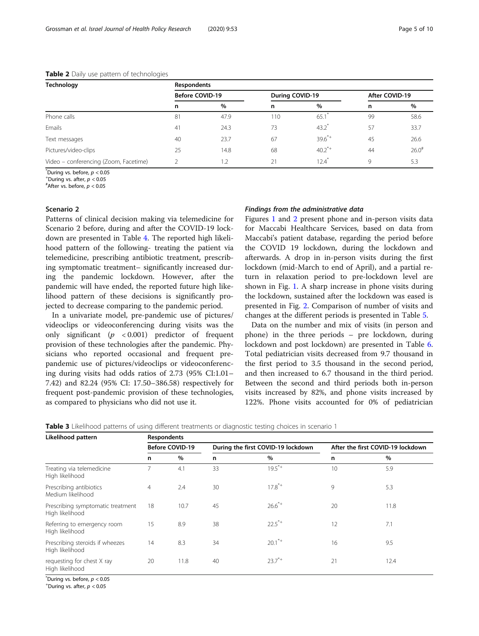| <b>Technology</b>                     | <b>Respondents</b>     |      |                 |                     |                |            |  |  |
|---------------------------------------|------------------------|------|-----------------|---------------------|----------------|------------|--|--|
|                                       | <b>Before COVID-19</b> |      | During COVID-19 |                     | After COVID-19 |            |  |  |
|                                       | n                      | $\%$ | n               | $\%$                | n              | %          |  |  |
| Phone calls                           | 81                     | 47.9 | 110             | 65.1                | 99             | 58.6       |  |  |
| Emails                                | 41                     | 24.3 | 73              | $43.2$ <sup>*</sup> | 57             | 33.7       |  |  |
| Text messages                         | 40                     | 23.7 | 67              | $39.6^{*+}$         | 45             | 26.6       |  |  |
| Pictures/video-clips                  | 25                     | 14.8 | 68              | $40.2^{*+}$         | 44             | $26.0^{*}$ |  |  |
| Video - conferencing (Zoom, Facetime) |                        | 1.2  | 21              | $12.4$ <sup>*</sup> | 9              | 5.3        |  |  |

#### <span id="page-4-0"></span>Table 2 Daily use pattern of technologies

\*During vs. before,  $p < 0.05$ <br>\*During vs. after,  $p < 0.05$ 

 $+$ During vs. after,  $p < 0.05$ 

 $*$ After vs. before,  $p < 0.05$ 

# Scenario 2

Patterns of clinical decision making via telemedicine for Scenario 2 before, during and after the COVID-19 lockdown are presented in Table [4](#page-5-0). The reported high likelihood pattern of the following- treating the patient via telemedicine, prescribing antibiotic treatment, prescribing symptomatic treatment– significantly increased during the pandemic lockdown. However, after the pandemic will have ended, the reported future high likelihood pattern of these decisions is significantly projected to decrease comparing to the pandemic period.

In a univariate model, pre-pandemic use of pictures/ videoclips or videoconferencing during visits was the only significant  $(p \lt 0.001)$  predictor of frequent provision of these technologies after the pandemic. Physicians who reported occasional and frequent prepandemic use of pictures/videoclips or videoconferencing during visits had odds ratios of 2.73 (95% CI:1.01– 7.42) and 82.24 (95% CI: 17.50–386.58) respectively for frequent post-pandemic provision of these technologies, as compared to physicians who did not use it.

# Findings from the administrative data

Figures [1](#page-5-0) and [2](#page-6-0) present phone and in-person visits data for Maccabi Healthcare Services, based on data from Maccabi's patient database, regarding the period before the COVID 19 lockdown, during the lockdown and afterwards. A drop in in-person visits during the first lockdown (mid-March to end of April), and a partial return in relaxation period to pre-lockdown level are shown in Fig. [1](#page-5-0). A sharp increase in phone visits during the lockdown, sustained after the lockdown was eased is presented in Fig. [2](#page-6-0). Comparison of number of visits and changes at the different periods is presented in Table [5](#page-6-0).

Data on the number and mix of visits (in person and phone) in the three periods – pre lockdown, during lockdown and post lockdown) are presented in Table [6](#page-7-0). Total pediatrician visits decreased from 9.7 thousand in the first period to 3.5 thousand in the second period, and then increased to 6.7 thousand in the third period. Between the second and third periods both in-person visits increased by 82%, and phone visits increased by 122%. Phone visits accounted for 0% of pediatrician

|  | <b>Table 3</b> Likelihood patterns of using different treatments or diagnostic testing choices in scenario 1 |
|--|--------------------------------------------------------------------------------------------------------------|
|  |                                                                                                              |

| Likelihood pattern                                   | <b>Respondents</b>     |      |    |                                    |                                   |      |  |
|------------------------------------------------------|------------------------|------|----|------------------------------------|-----------------------------------|------|--|
|                                                      | <b>Before COVID-19</b> |      |    | During the first COVID-19 lockdown | After the first COVID-19 lockdown |      |  |
|                                                      | n                      | %    | n  | %                                  | n                                 | %    |  |
| Treating via telemedicine<br>High likelihood         | 7                      | 4.1  | 33 | $19.5^{*+}$                        | 10                                | 5.9  |  |
| Prescribing antibiotics<br>Medium likelihood         | $\overline{4}$         | 2.4  | 30 | $17.8^{*+}$                        | 9                                 | 5.3  |  |
| Prescribing symptomatic treatment<br>High likelihood | 18                     | 10.7 | 45 | $26.6^{*+}$                        | 20                                | 11.8 |  |
| Referring to emergency room<br>High likelihood       | 15                     | 8.9  | 38 | $22.5$ <sup>*+</sup>               | 12                                | 7.1  |  |
| Prescribing steroids if wheezes<br>High likelihood   | 14                     | 8.3  | 34 | $20.1^{*+}$                        | 16                                | 9.5  |  |
| requesting for chest X ray<br>High likelihood        | 20                     | 11.8 | 40 | $23.7^{*+}$                        | 21                                | 12.4 |  |

 $\sum_{i=1}^{n}$  During vs. before,  $p < 0.05$ 

 $<sup>+</sup>$ During vs. after,  $p < 0.05$ </sup>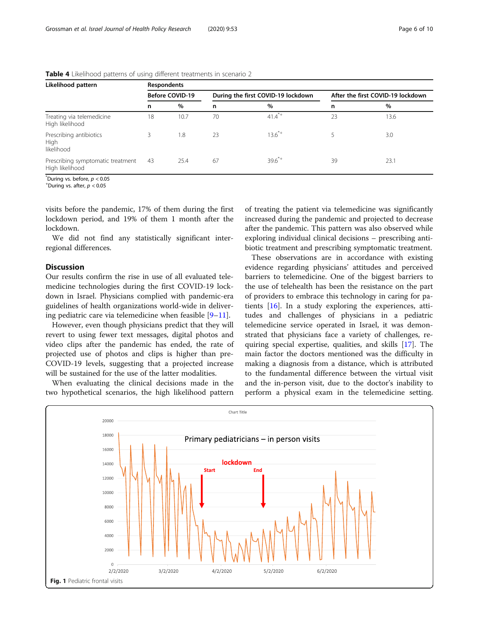| Likelihood pattern                                   | <b>Respondents</b>     |      |    |                                    |                                   |      |  |
|------------------------------------------------------|------------------------|------|----|------------------------------------|-----------------------------------|------|--|
|                                                      | <b>Before COVID-19</b> |      |    | During the first COVID-19 lockdown | After the first COVID-19 lockdown |      |  |
|                                                      | n                      | %    | n  | $\%$                               | n                                 | %    |  |
| Treating via telemedicine<br>High likelihood         | 18                     | 10.7 | 70 | $41.4$ <sup>*+</sup>               | 23                                | 13.6 |  |
| Prescribing antibiotics<br>High<br>likelihood        |                        | 1.8  | 23 | $13.6^{*+}$                        |                                   | 3.0  |  |
| Prescribing symptomatic treatment<br>High likelihood | 43                     | 25.4 | 67 | $39.6^{*+}$                        | 39                                | 23.1 |  |

<span id="page-5-0"></span>Table 4 Likelihood patterns of using different treatments in scenario 2

 $\hat{p}$ During vs. before,  $p < 0.05$   $^+$ During vs. after,  $p < 0.05$ 

visits before the pandemic, 17% of them during the first lockdown period, and 19% of them 1 month after the lockdown.

We did not find any statistically significant interregional differences.

# **Discussion**

Our results confirm the rise in use of all evaluated telemedicine technologies during the first COVID-19 lockdown in Israel. Physicians complied with pandemic-era guidelines of health organizations world-wide in delivering pediatric care via telemedicine when feasible  $[9-11]$  $[9-11]$  $[9-11]$  $[9-11]$  $[9-11]$ .

However, even though physicians predict that they will revert to using fewer text messages, digital photos and video clips after the pandemic has ended, the rate of projected use of photos and clips is higher than pre-COVID-19 levels, suggesting that a projected increase will be sustained for the use of the latter modalities.

When evaluating the clinical decisions made in the two hypothetical scenarios, the high likelihood pattern

of treating the patient via telemedicine was significantly increased during the pandemic and projected to decrease after the pandemic. This pattern was also observed while exploring individual clinical decisions – prescribing antibiotic treatment and prescribing symptomatic treatment.

These observations are in accordance with existing evidence regarding physicians' attitudes and perceived barriers to telemedicine. One of the biggest barriers to the use of telehealth has been the resistance on the part of providers to embrace this technology in caring for patients [\[16](#page-9-0)]. In a study exploring the experiences, attitudes and challenges of physicians in a pediatric telemedicine service operated in Israel, it was demonstrated that physicians face a variety of challenges, requiring special expertise, qualities, and skills [[17](#page-9-0)]. The main factor the doctors mentioned was the difficulty in making a diagnosis from a distance, which is attributed to the fundamental difference between the virtual visit and the in-person visit, due to the doctor's inability to perform a physical exam in the telemedicine setting.

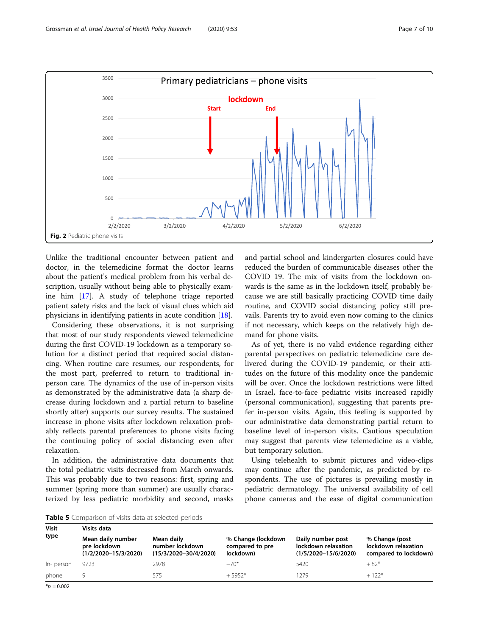<span id="page-6-0"></span>

Unlike the traditional encounter between patient and doctor, in the telemedicine format the doctor learns about the patient's medical problem from his verbal description, usually without being able to physically examine him [\[17](#page-9-0)]. A study of telephone triage reported patient safety risks and the lack of visual clues which aid physicians in identifying patients in acute condition [\[18](#page-9-0)].

Considering these observations, it is not surprising that most of our study respondents viewed telemedicine during the first COVID-19 lockdown as a temporary solution for a distinct period that required social distancing. When routine care resumes, our respondents, for the most part, preferred to return to traditional inperson care. The dynamics of the use of in-person visits as demonstrated by the administrative data (a sharp decrease during lockdown and a partial return to baseline shortly after) supports our survey results. The sustained increase in phone visits after lockdown relaxation probably reflects parental preferences to phone visits facing the continuing policy of social distancing even after relaxation.

In addition, the administrative data documents that the total pediatric visits decreased from March onwards. This was probably due to two reasons: first, spring and summer (spring more than summer) are usually characterized by less pediatric morbidity and second, masks and partial school and kindergarten closures could have reduced the burden of communicable diseases other the COVID 19. The mix of visits from the lockdown onwards is the same as in the lockdown itself, probably because we are still basically practicing COVID time daily routine, and COVID social distancing policy still prevails. Parents try to avoid even now coming to the clinics if not necessary, which keeps on the relatively high demand for phone visits.

As of yet, there is no valid evidence regarding either parental perspectives on pediatric telemedicine care delivered during the COVID-19 pandemic, or their attitudes on the future of this modality once the pandemic will be over. Once the lockdown restrictions were lifted in Israel, face-to-face pediatric visits increased rapidly (personal communication), suggesting that parents prefer in-person visits. Again, this feeling is supported by our administrative data demonstrating partial return to baseline level of in-person visits. Cautious speculation may suggest that parents view telemedicine as a viable, but temporary solution.

Using telehealth to submit pictures and video-clips may continue after the pandemic, as predicted by respondents. The use of pictures is prevailing mostly in pediatric dermatology. The universal availability of cell phone cameras and the ease of digital communication

Table 5 Comparison of visits data at selected periods

| Visit<br>type | Visits data                                                   |                                                          |                                                    |                                                                      |                                                                |  |  |  |  |
|---------------|---------------------------------------------------------------|----------------------------------------------------------|----------------------------------------------------|----------------------------------------------------------------------|----------------------------------------------------------------|--|--|--|--|
|               | Mean daily number<br>pre lockdown<br>$(1/2/2020 - 15/3/2020)$ | Mean daily<br>number lockdown<br>$(15/3/2020-30/4/2020)$ | % Change (lockdown<br>compared to pre<br>lockdown) | Daily number post<br>lockdown relaxation<br>$(1/5/2020 - 15/6/2020)$ | % Change (post<br>lockdown relaxation<br>compared to lockdown) |  |  |  |  |
| In-person     | 9723                                                          | 2978                                                     | $-70*$                                             | 5420                                                                 | $+82*$                                                         |  |  |  |  |
| phone         |                                                               | 575                                                      | $+5952*$                                           | 1279                                                                 | $+122*$                                                        |  |  |  |  |

 $*_{p} = 0.002$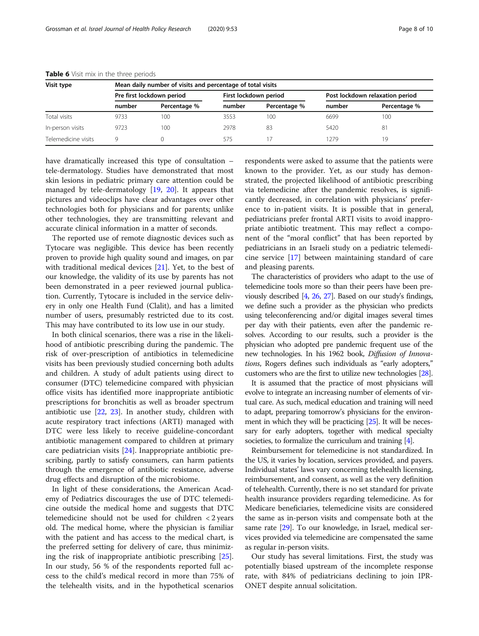| Visit type          | Mean daily number of visits and percentage of total visits |                           |                       |              |                                 |              |  |  |  |
|---------------------|------------------------------------------------------------|---------------------------|-----------------------|--------------|---------------------------------|--------------|--|--|--|
|                     |                                                            | Pre first lockdown period | First lockdown period |              | Post lockdown relaxation period |              |  |  |  |
|                     | number                                                     | Percentage %              | number                | Percentage % | number                          | Percentage % |  |  |  |
| Total visits        | 9733                                                       | 100                       | 3553                  | 100          | 6699                            | 100          |  |  |  |
| In-person visits    | 9723                                                       | 100                       | 2978                  | 83           | 5420                            | 81           |  |  |  |
| Telemedicine visits |                                                            |                           | 575                   |              | 279                             | 19           |  |  |  |

# <span id="page-7-0"></span>Table 6 Visit mix in the three periods

have dramatically increased this type of consultation – tele-dermatology. Studies have demonstrated that most skin lesions in pediatric primary care attention could be managed by tele-dermatology [\[19,](#page-9-0) [20\]](#page-9-0). It appears that pictures and videoclips have clear advantages over other technologies both for physicians and for parents; unlike other technologies, they are transmitting relevant and accurate clinical information in a matter of seconds.

The reported use of remote diagnostic devices such as Tytocare was negligible. This device has been recently proven to provide high quality sound and images, on par with traditional medical devices [[21](#page-9-0)]. Yet, to the best of our knowledge, the validity of its use by parents has not been demonstrated in a peer reviewed journal publication. Currently, Tytocare is included in the service delivery in only one Health Fund (Clalit), and has a limited number of users, presumably restricted due to its cost. This may have contributed to its low use in our study.

In both clinical scenarios, there was a rise in the likelihood of antibiotic prescribing during the pandemic. The risk of over-prescription of antibiotics in telemedicine visits has been previously studied concerning both adults and children. A study of adult patients using direct to consumer (DTC) telemedicine compared with physician office visits has identified more inappropriate antibiotic prescriptions for bronchitis as well as broader spectrum antibiotic use [[22,](#page-9-0) [23](#page-9-0)]. In another study, children with acute respiratory tract infections (ARTI) managed with DTC were less likely to receive guideline-concordant antibiotic management compared to children at primary care pediatrician visits [[24\]](#page-9-0). Inappropriate antibiotic prescribing, partly to satisfy consumers, can harm patients through the emergence of antibiotic resistance, adverse drug effects and disruption of the microbiome.

In light of these considerations, the American Academy of Pediatrics discourages the use of DTC telemedicine outside the medical home and suggests that DTC telemedicine should not be used for children < 2 years old. The medical home, where the physician is familiar with the patient and has access to the medical chart, is the preferred setting for delivery of care, thus minimizing the risk of inappropriate antibiotic prescribing [\[25](#page-9-0)]. In our study, 56 % of the respondents reported full access to the child's medical record in more than 75% of the telehealth visits, and in the hypothetical scenarios

respondents were asked to assume that the patients were known to the provider. Yet, as our study has demonstrated, the projected likelihood of antibiotic prescribing via telemedicine after the pandemic resolves, is significantly decreased, in correlation with physicians' preference to in-patient visits. It is possible that in general, pediatricians prefer frontal ARTI visits to avoid inappropriate antibiotic treatment. This may reflect a component of the "moral conflict" that has been reported by pediatricians in an Israeli study on a pediatric telemedicine service [\[17\]](#page-9-0) between maintaining standard of care and pleasing parents.

The characteristics of providers who adapt to the use of telemedicine tools more so than their peers have been previously described [\[4,](#page-9-0) [26](#page-9-0), [27\]](#page-9-0). Based on our study's findings, we define such a provider as the physician who predicts using teleconferencing and/or digital images several times per day with their patients, even after the pandemic resolves. According to our results, such a provider is the physician who adopted pre pandemic frequent use of the new technologies. In his 1962 book, Diffusion of Innovations, Rogers defines such individuals as "early adopters," customers who are the first to utilize new technologies [[28](#page-9-0)].

It is assumed that the practice of most physicians will evolve to integrate an increasing number of elements of virtual care. As such, medical education and training will need to adapt, preparing tomorrow's physicians for the environment in which they will be practicing [\[25\]](#page-9-0). It will be necessary for early adopters, together with medical specialty societies, to formalize the curriculum and training [[4](#page-9-0)].

Reimbursement for telemedicine is not standardized. In the US, it varies by location, services provided, and payers. Individual states' laws vary concerning telehealth licensing, reimbursement, and consent, as well as the very definition of telehealth. Currently, there is no set standard for private health insurance providers regarding telemedicine. As for Medicare beneficiaries, telemedicine visits are considered the same as in-person visits and compensate both at the same rate [[29](#page-9-0)]. To our knowledge, in Israel, medical services provided via telemedicine are compensated the same as regular in-person visits.

Our study has several limitations. First, the study was potentially biased upstream of the incomplete response rate, with 84% of pediatricians declining to join IPR-ONET despite annual solicitation.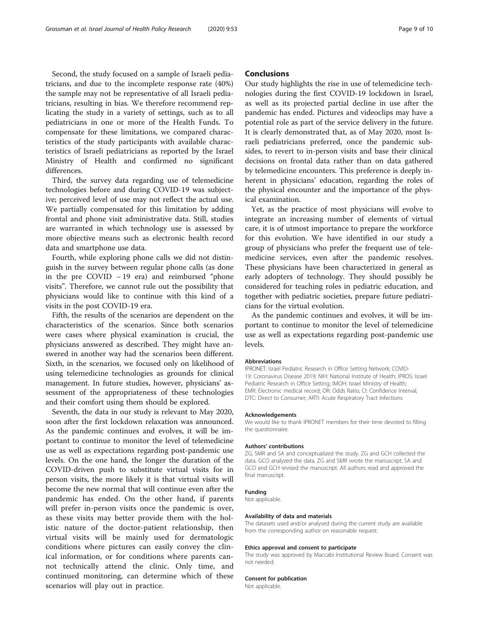Second, the study focused on a sample of Israeli pediatricians, and due to the incomplete response rate (40%) the sample may not be representative of all Israeli pediatricians, resulting in bias. We therefore recommend replicating the study in a variety of settings, such as to all pediatricians in one or more of the Health Funds. To compensate for these limitations, we compared characteristics of the study participants with available characteristics of Israeli pediatricians as reported by the Israel Ministry of Health and confirmed no significant differences.

Third, the survey data regarding use of telemedicine technologies before and during COVID-19 was subjective; perceived level of use may not reflect the actual use. We partially compensated for this limitation by adding frontal and phone visit administrative data. Still, studies are warranted in which technology use is assessed by more objective means such as electronic health record data and smartphone use data.

Fourth, while exploring phone calls we did not distinguish in the survey between regular phone calls (as done in the pre COVID − 19 era) and reimbursed "phone visits". Therefore, we cannot rule out the possibility that physicians would like to continue with this kind of a visits in the post COVID-19 era.

Fifth, the results of the scenarios are dependent on the characteristics of the scenarios. Since both scenarios were cases where physical examination is crucial, the physicians answered as described. They might have answered in another way had the scenarios been different. Sixth, in the scenarios, we focused only on likelihood of using telemedicine technologies as grounds for clinical management. In future studies, however, physicians' assessment of the appropriateness of these technologies and their comfort using them should be explored.

Seventh, the data in our study is relevant to May 2020, soon after the first lockdown relaxation was announced. As the pandemic continues and evolves, it will be important to continue to monitor the level of telemedicine use as well as expectations regarding post-pandemic use levels. On the one hand, the longer the duration of the COVID-driven push to substitute virtual visits for in person visits, the more likely it is that virtual visits will become the new normal that will continue even after the pandemic has ended. On the other hand, if parents will prefer in-person visits once the pandemic is over, as these visits may better provide them with the holistic nature of the doctor-patient relationship, then virtual visits will be mainly used for dermatologic conditions where pictures can easily convey the clinical information, or for conditions where parents cannot technically attend the clinic. Only time, and continued monitoring, can determine which of these scenarios will play out in practice.

# **Conclusions**

Our study highlights the rise in use of telemedicine technologies during the first COVID-19 lockdown in Israel, as well as its projected partial decline in use after the pandemic has ended. Pictures and videoclips may have a potential role as part of the service delivery in the future. It is clearly demonstrated that, as of May 2020, most Israeli pediatricians preferred, once the pandemic subsides, to revert to in-person visits and base their clinical decisions on frontal data rather than on data gathered by telemedicine encounters. This preference is deeply inherent in physicians' education, regarding the roles of the physical encounter and the importance of the physical examination.

Yet, as the practice of most physicians will evolve to integrate an increasing number of elements of virtual care, it is of utmost importance to prepare the workforce for this evolution. We have identified in our study a group of physicians who prefer the frequent use of telemedicine services, even after the pandemic resolves. These physicians have been characterized in general as early adopters of technology. They should possibly be considered for teaching roles in pediatric education, and together with pediatric societies, prepare future pediatricians for the virtual evolution.

As the pandemic continues and evolves, it will be important to continue to monitor the level of telemedicine use as well as expectations regarding post-pandemic use levels.

#### Abbreviations

IPRONET: Israel Pediatric Research in Office Setting Network; COVID-19: Coronavirus Disease 2019; NIH: National Institute of Health; IPROS: Israel Pediatric Research in Office Setting; IMOH: Israel Ministry of Health; EMR: Electronic medical record; OR: Odds Ratio; CI: Confidence Interval; DTC: Direct to Consumer; ARTI: Acute Respiratory Tract Infections

#### Acknowledgements

We would like to thank IPRONET members for their time devoted to filling the questionnaire.

#### Authors' contributions

ZG, SMR and SA and conceptualized the study. ZG and GCH collected the data. GCO analyzed the data. ZG and SMR wrote the manuscript. SA and GCO and GCH revised the manuscript. All authors read and approved the final manuscript.

#### Funding

Not applicable.

#### Availability of data and materials

The datasets used and/or analysed during the current study are available from the corresponding author on reasonable request.

#### Ethics approval and consent to participate

The study was approved by Maccabi Institutional Review Board. Consent was not needed.

# Consent for publication

Not applicable.